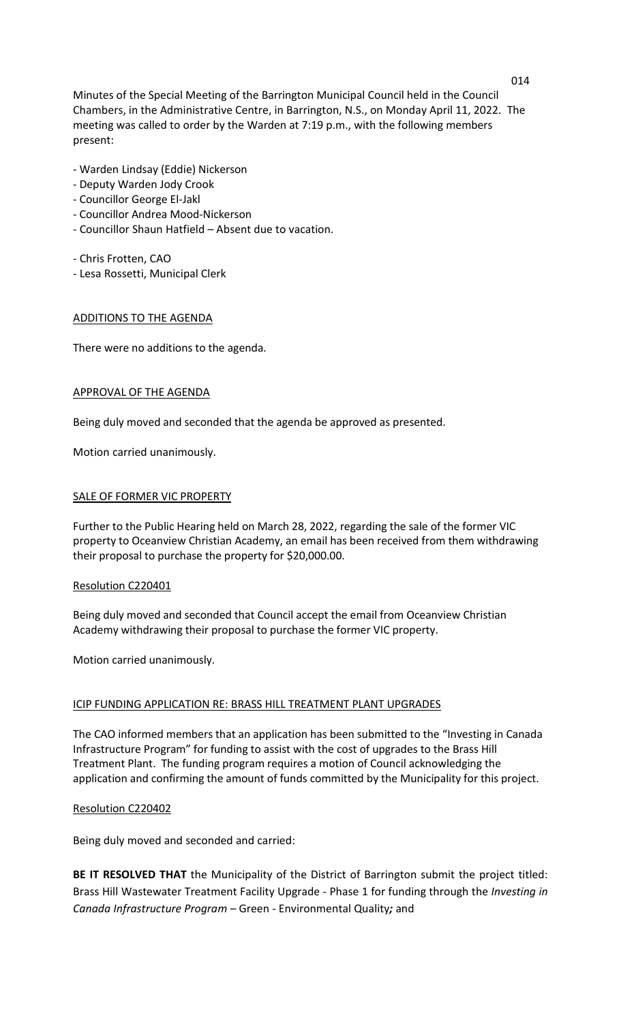Minutes of the Special Meeting of the Barrington Municipal Council held in the Council Chambers, in the Administrative Centre, in Barrington, N.S., on Monday April 11, 2022. The meeting was called to order by the Warden at 7:19 p.m., with the following members present:

- Warden Lindsay (Eddie) Nickerson
- Deputy Warden Jody Crook
- Councillor George El-Jakl
- Councillor Andrea Mood-Nickerson
- Councillor Shaun Hatfield Absent due to vacation.
- Chris Frotten, CAO
- Lesa Rossetti, Municipal Clerk

## ADDITIONS TO THE AGENDA

There were no additions to the agenda.

## APPROVAL OF THE AGENDA

Being duly moved and seconded that the agenda be approved as presented.

Motion carried unanimously.

# SALE OF FORMER VIC PROPERTY

Further to the Public Hearing held on March 28, 2022, regarding the sale of the former VIC property to Oceanview Christian Academy, an email has been received from them withdrawing their proposal to purchase the property for \$20,000.00.

## Resolution C220401

Being duly moved and seconded that Council accept the email from Oceanview Christian Academy withdrawing their proposal to purchase the former VIC property.

Motion carried unanimously.

## ICIP FUNDING APPLICATION RE: BRASS HILL TREATMENT PLANT UPGRADES

The CAO informed members that an application has been submitted to the "Investing in Canada Infrastructure Program" for funding to assist with the cost of upgrades to the Brass Hill Treatment Plant. The funding program requires a motion of Council acknowledging the application and confirming the amount of funds committed by the Municipality for this project.

## Resolution C220402

Being duly moved and seconded and carried:

**BE IT RESOLVED THAT** the Municipality of the District of Barrington submit the project titled: Brass Hill Wastewater Treatment Facility Upgrade - Phase 1 for funding through the *Investing in Canada Infrastructure Program –* Green - Environmental Quality*;* and